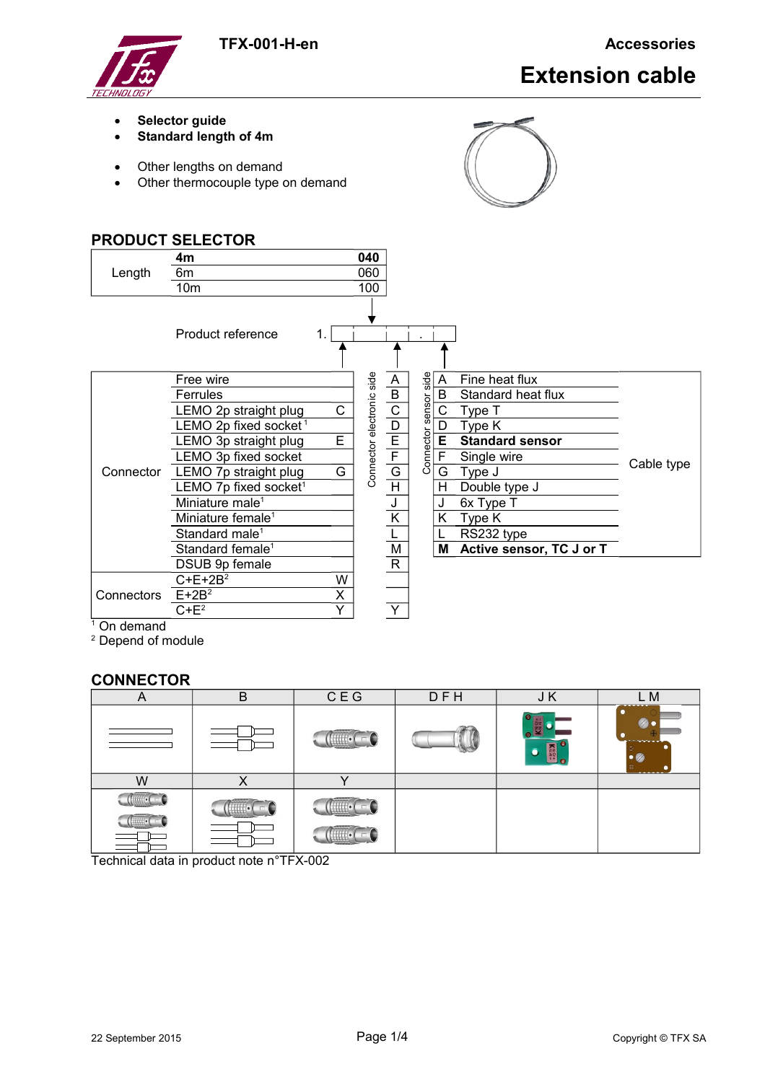**TFX-001-H-en Accessories**



# **Extension cable**

- **Selector guide**
- **Standard length of 4m**
- Other lengths on demand
- Other thermocouple type on demand



# **PRODUCT SELECTOR** Length **4m 040** 6m 060 10m 100 Product reference 1. Connector LEMO 7p straight plug G | 승 G | 이 G Type J Free wire Connector electronic side A Connector sensor side A Fine heat flux Cable type Free wire<br>
Ferrules<br>
LEMO 2p straight plug<br>
LEMO 3p straight plug<br>
LEMO 3p straight plug<br>
LEMO 3p fixed socket<br>
LEMO 7p straight plug<br>
G<br>
B Standard heat flux<br>
B Standard heat flux<br>
B Standard heat flux<br>
B Standard sensor<br> LEMO 2p straight plug  $C$   $\frac{5}{5}$   $\frac{C}{C}$   $\frac{2}{9}$   $\frac{C}{C}$  Type T LEMO 2p fixed socket<sup>1</sup>  $\frac{6}{4}$  D  $\frac{8}{5}$  D Type K **LEMO 3p straight plug E E E E Standard sensor**<br>LEMO 3p fixed socket  $\frac{1}{8}$  = F E F Single wire  $\begin{array}{c|c}\n\text{LEMO 3p fixed socket} \\
\hline\n\text{LEMO 7p straight plug} & G & \frac{E}{G} & G\n\end{array}$ LEMO 7p fixed socket<sup>1</sup>  $\sigma$  H  $\sigma$  H Double type J Miniature male<sup>1</sup>  $J$   $J$  6x Type T Miniature female<sup>1</sup>  $K$  K  $K$  Type K Standard male<sup>1</sup> <br> **L L** RS232 type Standard female<sup>1</sup> M **M M Active sensor, TC J or T** DSUB 9p female R Connectors E+2B<sup>2</sup> X  $C+E+2B^2$  W  $C+E^2$   $Y$   $Y$

On demand

<sup>2</sup> Depend of module

# **CONNECTOR**

| 宀                                                  | B                    | C E G                           | DFH | J K              | M                  |
|----------------------------------------------------|----------------------|---------------------------------|-----|------------------|--------------------|
|                                                    |                      | <b>CONSUMER</b><br>$\mathbf{H}$ |     | KNA<br>$\bullet$ | ,,,,,,,<br>بالمحمد |
| W                                                  | ↗                    |                                 |     |                  |                    |
| $\left  \right $ $\left  \right $ $\left  \right $ | annan<br><b>HH</b> . |                                 |     |                  |                    |

Technical data in product note n°TFX-002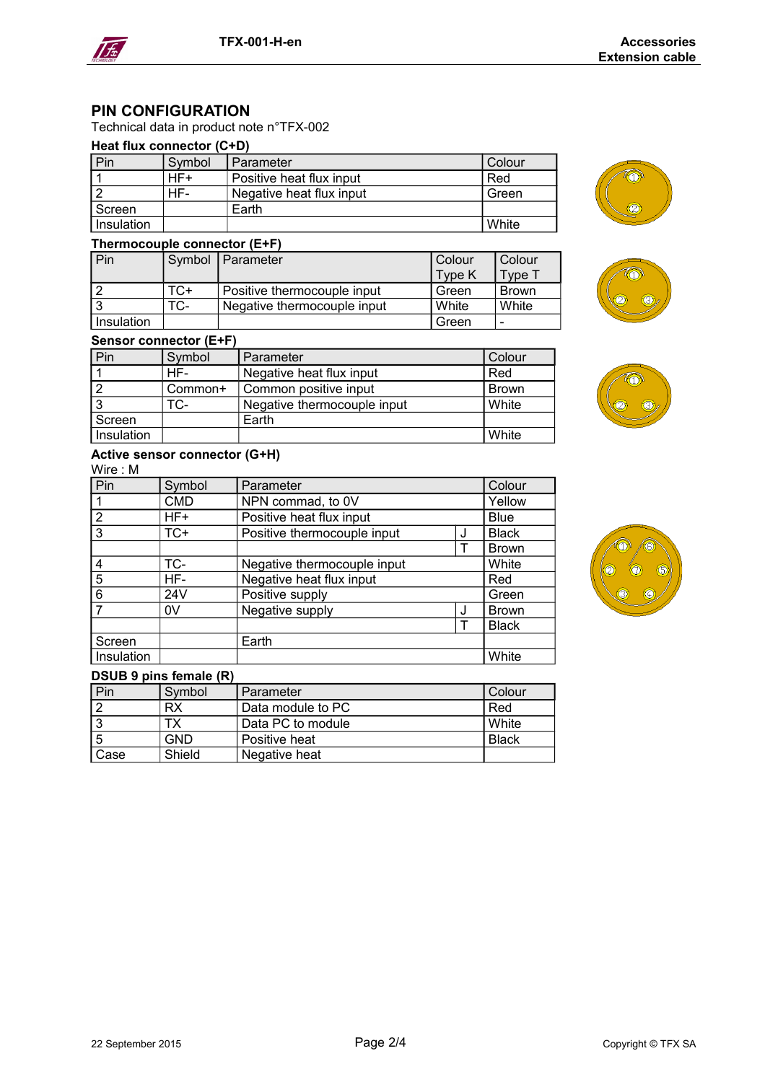

# **PIN CONFIGURATION**

# Technical data in product note n°TFX-002

# **Heat flux connector (C+D)**

| Pin        | Symbol | Parameter                | <b>Colour</b> |
|------------|--------|--------------------------|---------------|
|            | HF+    | Positive heat flux input | Red           |
|            | HF-    | Negative heat flux input | Green         |
| Screen     |        | Earth                    |               |
| Insulation |        |                          | White         |

# **Thermocouple connector (E+F)**

**Sensor connector (E+F)**

| Pin        |     | Symbol   Parameter          | Colour | Colour       |
|------------|-----|-----------------------------|--------|--------------|
|            |     |                             | Type K | Type 1       |
|            | TC+ | Positive thermocouple input | Green  | <b>Brown</b> |
|            | TC- | Negative thermocouple input | White  | White        |
| Insulation |     |                             | Green  | -            |

TC- Negative thermocouple input White

Pin Symbol Parameter Colour 1 HF- Negative heat flux input Red 2 Common+ Common positive input Brown<br>3 TC- Negative thermocouple input White

**Insulation** White **Network** Network **Network** Network Network Network Network Network Network Network Network Network Network Network Network Network Network Network Network Network Network Network Network Network Network

# ⑩





# **Active sensor connector (G+H)**

Screen | Earth

Wire : M

| Pin            | Symbol     | Parameter                   |   | Colour       |
|----------------|------------|-----------------------------|---|--------------|
|                | <b>CMD</b> | NPN commad, to 0V           |   | Yellow       |
| $\overline{2}$ | $HF+$      | Positive heat flux input    |   | <b>Blue</b>  |
| 3              | $TC+$      | Positive thermocouple input | J |              |
|                |            |                             |   | <b>Brown</b> |
| 4              | TC-        | Negative thermocouple input |   | White        |
| 5              | HF-        | Negative heat flux input    |   | Red          |
| 6              | 24V        | Positive supply             |   | Green        |
|                | 0V         | Negative supply             | J | <b>Brown</b> |
|                |            |                             |   | <b>Black</b> |
| Screen         |            | Earth                       |   |              |
| Insulation     |            |                             |   | White        |

# **DSUB 9 pins female (R)**

| Pin  | Symbol | Parameter                  | Colour       |
|------|--------|----------------------------|--------------|
|      | RX     | Data module to PC          | Red          |
|      | ТX     | Data PC to module          | l White      |
| ' 5  | GND    | <sup>∣</sup> Positive heat | <b>Black</b> |
| Case | Shield | Negative heat              |              |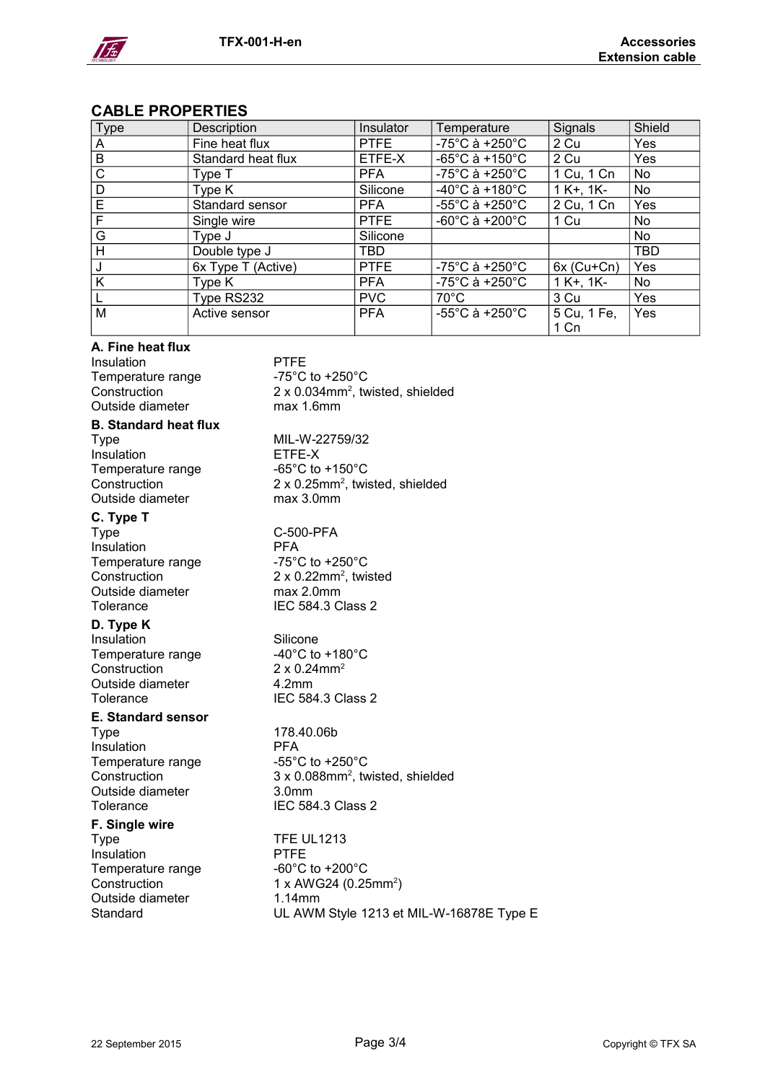

# **CABLE PROPERTIES**

| Type         | Description        | Insulator   | Temperature                         | Signals             | Shield     |
|--------------|--------------------|-------------|-------------------------------------|---------------------|------------|
| A            | Fine heat flux     | <b>PTFE</b> | $-75^{\circ}$ C à +250 $^{\circ}$ C | 2 Cu                | Yes        |
| $\mathsf B$  | Standard heat flux | ETFE-X      | $-65^{\circ}$ C à +150 $^{\circ}$ C | 2 Cu                | Yes        |
| $\mathsf{C}$ | Type T             | <b>PFA</b>  | $-75^{\circ}$ C à +250 $^{\circ}$ C | 1 Cu, 1 Cn          | No         |
| D            | Type K             | Silicone    | $-40^{\circ}$ C à +180 $^{\circ}$ C | $1 K+1 K-$          | No         |
| E            | Standard sensor    | <b>PFA</b>  | $-55^{\circ}$ C à +250 $^{\circ}$ C | 2 Cu, 1 Cn          | Yes        |
| F            | Single wire        | <b>PTFE</b> | $-60^{\circ}$ C à $+200^{\circ}$ C  | 1 Cu                | No         |
| G            | Type J             | Silicone    |                                     |                     | No         |
| H            | Double type J      | <b>TBD</b>  |                                     |                     | <b>TBD</b> |
| J            | 6x Type T (Active) | <b>PTFE</b> | $-75^{\circ}$ C à +250 $^{\circ}$ C | $6x$ (Cu+Cn)        | Yes        |
| K            | Type K             | <b>PFA</b>  | $-75^{\circ}$ C à +250 $^{\circ}$ C | $1 K+1 K-$          | No         |
|              | Type RS232         | <b>PVC</b>  | $70^{\circ}$ C                      | 3 Cu                | Yes        |
| M            | Active sensor      | <b>PFA</b>  | $-55^{\circ}$ C à +250 $^{\circ}$ C | 5 Cu, 1 Fe,<br>1 Cn | Yes        |

# **A. Fine heat flux**

Insulation PTFE Temperature range  $-75^{\circ}$ C to +250 $^{\circ}$ C Construction  $2 \times 0.034$ mm<sup>2</sup>, tw Outside diameter max 1.6mm

# **B. Standard heat flux**

Type MIL-W-22759/32 Insulation ETFE-X Temperature range  $-65^{\circ}$ C to +150 $^{\circ}$ C construction  $2 \times 0.25$ mm<sup>2</sup>. twist Outside diameter max 3.0mm

# **C. Type T**

Type C-500-PFA<br>Insulation PFA Insulation Temperature range The Manageration -75°C to +250°C Construction Outside diameter max 2.0mm

# **D. Type K**

Insulation Silicone Temperature range  $-40^{\circ}$ C to +180 $^{\circ}$ C<br>Construction 2 x 0.24mm<sup>2</sup> Construction Outside diameter 4.2mm

# **E. Standard sensor**

Type 178.40.06b Insulation **PFA** Temperature range  $-55^{\circ}$ C to +250 $^{\circ}$ C Outside diameter 3.0mm Tolerance IEC 584.3 Class 2

# **F. Single wire**

Type Type TFE UL1213 Insulation PTFE Temperature range Temperature range Outside diameter 1.14mm

Construction 2 x 0.034mm<sup>2</sup> , twisted, shielded

Construction 2 x 0.25mm<sup>2</sup> , twisted, shielded

 $2 \times 0.22$ mm<sup>2</sup>, twisted Tolerance **IEC 584.3 Class 2** 

Tolerance IEC 584.3 Class 2

Construction 3 x 0.088mm<sup>2</sup> , twisted, shielded

Construction  $1 \times$  AWG24 (0.25mm<sup>2</sup>) Standard UL AWM Style 1213 et MIL-W-16878E Type E